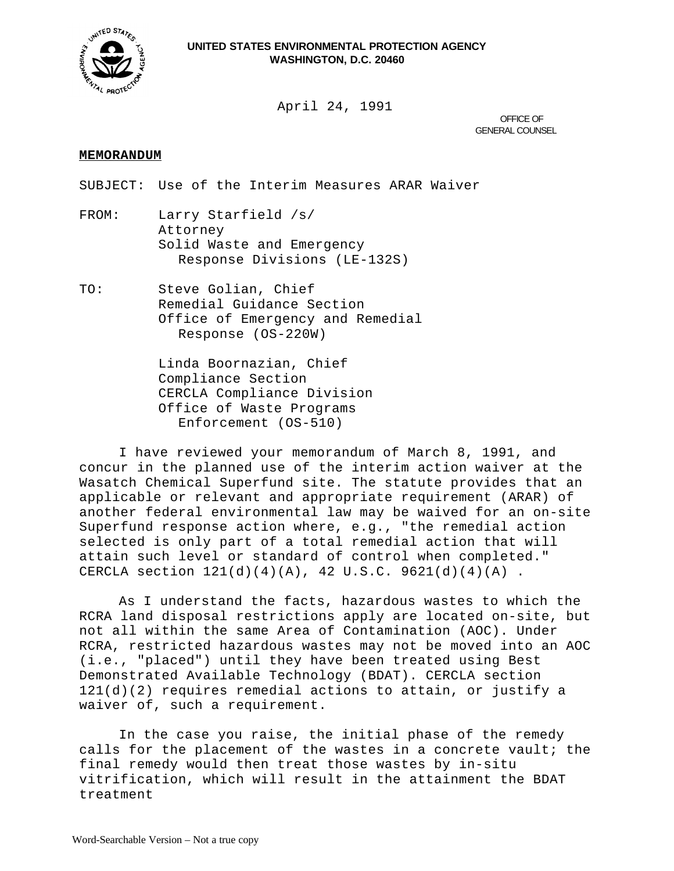

April 24, 1991

OFFICE OF GENERAL COUNSEL

## **MEMORANDUM**

SUBJECT: Use of the Interim Measures ARAR Waiver

- FROM: Larry Starfield /s/ Attorney Solid Waste and Emergency Response Divisions (LE-132S)
- TO: Steve Golian, Chief Remedial Guidance Section Office of Emergency and Remedial Response (OS-220W)

Linda Boornazian, Chief Compliance Section CERCLA Compliance Division Office of Waste Programs Enforcement (OS-510)

I have reviewed your memorandum of March 8, 1991, and concur in the planned use of the interim action waiver at the Wasatch Chemical Superfund site. The statute provides that an applicable or relevant and appropriate requirement (ARAR) of another federal environmental law may be waived for an on-site Superfund response action where, e.g., "the remedial action selected is only part of a total remedial action that will attain such level or standard of control when completed." CERCLA section  $121(d)(4)(A)$ , 42 U.S.C. 9621(d)(4)(A).

As I understand the facts, hazardous wastes to which the RCRA land disposal restrictions apply are located on-site, but not all within the same Area of Contamination (AOC). Under RCRA, restricted hazardous wastes may not be moved into an AOC (i.e., "placed") until they have been treated using Best Demonstrated Available Technology (BDAT). CERCLA section 121(d)(2) requires remedial actions to attain, or justify a waiver of, such a requirement.

In the case you raise, the initial phase of the remedy calls for the placement of the wastes in a concrete vault; the final remedy would then treat those wastes by in-situ vitrification, which will result in the attainment the BDAT treatment